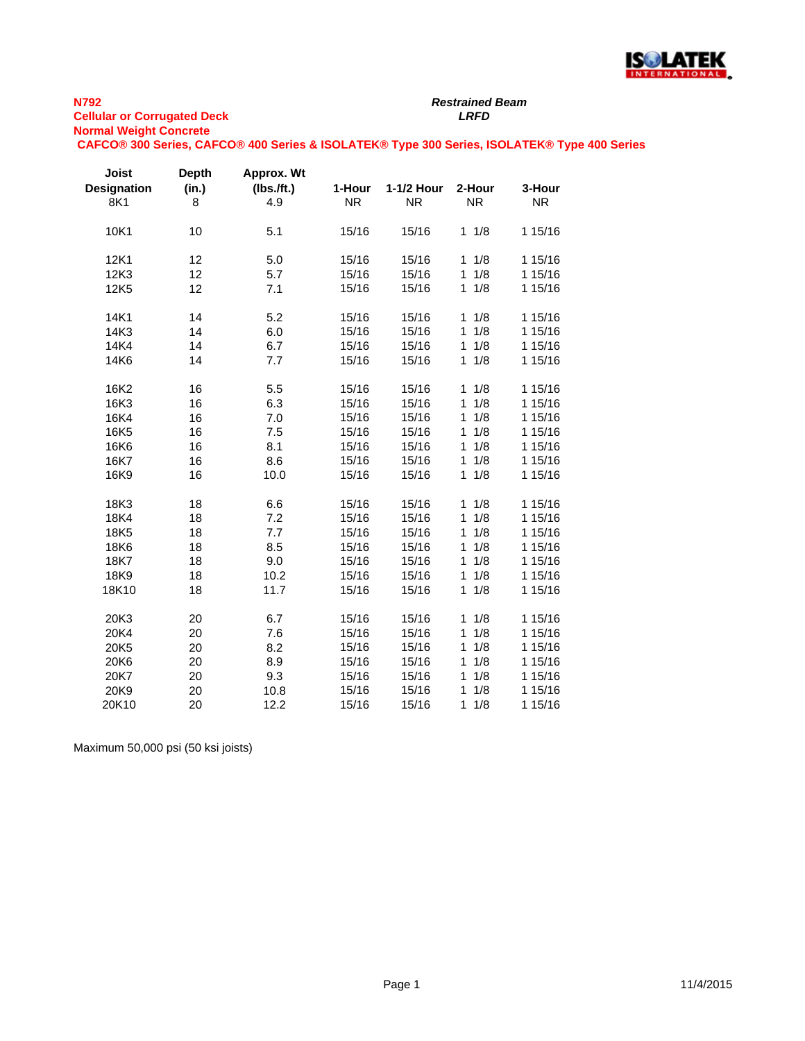

# *Restrained Beam*

**CAFCO® 300 Series, CAFCO® 400 Series & ISOLATEK® Type 300 Series, ISOLATEK® Type 400 Series**

| Joist<br><b>Designation</b><br>8K1 | <b>Depth</b><br>(in.)<br>8 | Approx. Wt<br>(Ibs./ft.)<br>4.9 | 1-Hour<br><b>NR</b> | 1-1/2 Hour<br><b>NR</b> | 2-Hour<br><b>NR</b> | 3-Hour<br><b>NR</b> |
|------------------------------------|----------------------------|---------------------------------|---------------------|-------------------------|---------------------|---------------------|
| 10K1                               | 10                         | 5.1                             | 15/16               | 15/16                   | 1/8<br>$\mathbf{1}$ | 1 15/16             |
| 12K1                               | 12                         | 5.0                             | 15/16               | 15/16                   | 1/8<br>1            | 1 15/16             |
| 12K3                               | 12                         | 5.7                             | 15/16               | 15/16                   | 1/8<br>$\mathbf{1}$ | 1 15/16             |
| 12K5                               | 12                         | 7.1                             | 15/16               | 15/16                   | 1/8<br>$\mathbf{1}$ | 1 15/16             |
| 14K1                               | 14                         | 5.2                             | 15/16               | 15/16                   | 1/8<br>$\mathbf{1}$ | 1 15/16             |
| 14K3                               | 14                         | 6.0                             | 15/16               | 15/16                   | 1/8<br>$\mathbf{1}$ | 1 15/16             |
| 14K4                               | 14                         | 6.7                             | 15/16               | 15/16                   | 1/8<br>1            | 1 15/16             |
| 14K6                               | 14                         | 7.7                             | 15/16               | 15/16                   | 1/8<br>$\mathbf{1}$ | 1 15/16             |
| 16K2                               | 16                         | 5.5                             | 15/16               | 15/16                   | 1/8<br>1            | 1 15/16             |
| 16K3                               | 16                         | 6.3                             | 15/16               | 15/16                   | 1/8<br>$\mathbf{1}$ | 1 15/16             |
| 16K4                               | 16                         | 7.0                             | 15/16               | 15/16                   | 1/8<br>1            | 1 15/16             |
| 16K5                               | 16                         | 7.5                             | 15/16               | 15/16                   | 1/8<br>1            | 1 15/16             |
| 16K6                               | 16                         | 8.1                             | 15/16               | 15/16                   | 1/8<br>1            | 1 15/16             |
| 16K7                               | 16                         | 8.6                             | 15/16               | 15/16                   | 1/8<br>1            | 1 15/16             |
| 16K9                               | 16                         | 10.0                            | 15/16               | 15/16                   | 1/8<br>1            | 1 15/16             |
| 18K3                               | 18                         | 6.6                             | 15/16               | 15/16                   | 1/8<br>$\mathbf{1}$ | 1 15/16             |
| 18K4                               | 18                         | 7.2                             | 15/16               | 15/16                   | 1/8<br>1            | 1 15/16             |
| 18K5                               | 18                         | 7.7                             | 15/16               | 15/16                   | 1/8<br>1            | 1 15/16             |
| 18K6                               | 18                         | 8.5                             | 15/16               | 15/16                   | 1/8<br>1            | 1 15/16             |
| 18K7                               | 18                         | 9.0                             | 15/16               | 15/16                   | 1/8<br>1            | 1 15/16             |
| 18K9                               | 18                         | 10.2                            | 15/16               | 15/16                   | 1/8<br>1            | 1 15/16             |
| 18K10                              | 18                         | 11.7                            | 15/16               | 15/16                   | 1/8<br>$\mathbf{1}$ | 1 15/16             |
| 20K3                               | 20                         | 6.7                             | 15/16               | 15/16                   | 1/8<br>1            | 1 15/16             |
| 20K4                               | 20                         | 7.6                             | 15/16               | 15/16                   | 1/8<br>1            | 1 15/16             |
| 20K5                               | 20                         | 8.2                             | 15/16               | 15/16                   | 1/8<br>1            | 1 15/16             |
| 20K6                               | 20                         | 8.9                             | 15/16               | 15/16                   | 1/8<br>1            | 1 15/16             |
| 20K7                               | 20                         | 9.3                             | 15/16               | 15/16                   | 1/8<br>1            | 1 15/16             |
| 20K9                               | 20                         | 10.8                            | 15/16               | 15/16                   | 1/8<br>1            | 1 15/16             |
| 20K10                              | 20                         | 12.2                            | 15/16               | 15/16                   | $\mathbf{1}$<br>1/8 | 1 15/16             |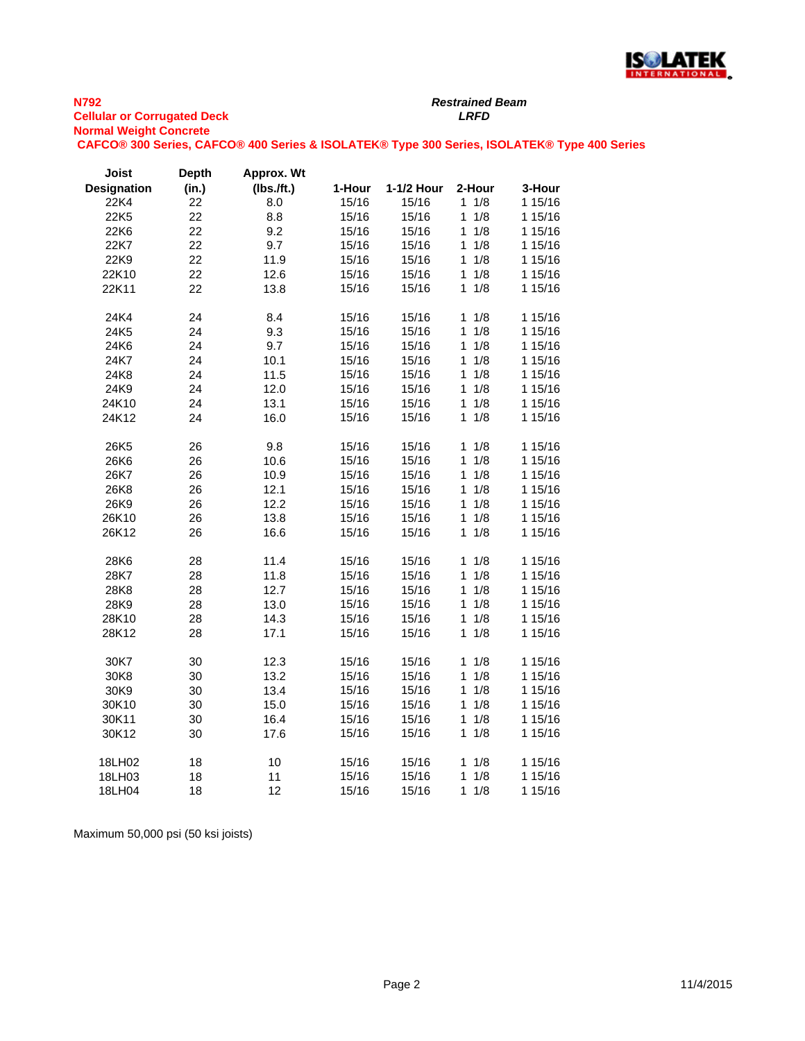

*Restrained Beam*

**CAFCO® 300 Series, CAFCO® 400 Series & ISOLATEK® Type 300 Series, ISOLATEK® Type 400 Series**

| Joist              | <b>Depth</b> | Approx. Wt |        |            |                     |         |
|--------------------|--------------|------------|--------|------------|---------------------|---------|
| <b>Designation</b> | (in.)        | (Ibs.ft.)  | 1-Hour | 1-1/2 Hour | 2-Hour              | 3-Hour  |
| 22K4               | 22           | 8.0        | 15/16  | 15/16      | 1/8<br>$\mathbf{1}$ | 1 15/16 |
| 22K5               | 22           | 8.8        | 15/16  | 15/16      | $\mathbf{1}$<br>1/8 | 1 15/16 |
| 22K6               | 22           | 9.2        | 15/16  | 15/16      | $\mathbf{1}$<br>1/8 | 1 15/16 |
| 22K7               | 22           | 9.7        | 15/16  | 15/16      | 1/8<br>1            | 1 15/16 |
| 22K9               | 22           | 11.9       | 15/16  | 15/16      | 1/8<br>1            | 1 15/16 |
| 22K10              | 22           | 12.6       | 15/16  | 15/16      | 1/8<br>$\mathbf{1}$ | 1 15/16 |
| 22K11              | 22           | 13.8       | 15/16  | 15/16      | 1/8<br>1            | 1 15/16 |
| 24K4               | 24           | 8.4        | 15/16  | 15/16      | 1/8<br>1            | 1 15/16 |
| 24K5               | 24           | 9.3        | 15/16  | 15/16      | 1<br>1/8            | 1 15/16 |
| 24K6               | 24           | 9.7        | 15/16  | 15/16      | 1/8<br>1            | 1 15/16 |
| 24K7               | 24           | 10.1       | 15/16  | 15/16      | 1/8<br>$\mathbf{1}$ | 1 15/16 |
| 24K8               | 24           | 11.5       | 15/16  | 15/16      | 1/8<br>1            | 1 15/16 |
| 24K9               | 24           | 12.0       | 15/16  | 15/16      | 1/8<br>1            | 1 15/16 |
| 24K10              | 24           | 13.1       | 15/16  | 15/16      | 1/8<br>1            | 1 15/16 |
| 24K12              | 24           | 16.0       | 15/16  | 15/16      | 1/8<br>$\mathbf{1}$ | 1 15/16 |
|                    |              |            |        |            |                     |         |
| 26K5               | 26           | 9.8        | 15/16  | 15/16      | 1/8<br>1            | 1 15/16 |
| 26K6               | 26           | 10.6       | 15/16  | 15/16      | 1/8<br>$\mathbf{1}$ | 1 15/16 |
| 26K7               | 26           | 10.9       | 15/16  | 15/16      | 1/8<br>1            | 1 15/16 |
| 26K8               | 26           | 12.1       | 15/16  | 15/16      | 1/8<br>1            | 1 15/16 |
| 26K9               | 26           | 12.2       | 15/16  | 15/16      | 1/8<br>1            | 1 15/16 |
| 26K10              | 26           | 13.8       | 15/16  | 15/16      | 1/8<br>$\mathbf{1}$ | 1 15/16 |
| 26K12              | 26           | 16.6       | 15/16  | 15/16      | 1/8<br>$\mathbf{1}$ | 1 15/16 |
| 28K6               | 28           | 11.4       | 15/16  | 15/16      | 1/8<br>$\mathbf{1}$ | 1 15/16 |
| 28K7               | 28           | 11.8       | 15/16  | 15/16      | 1/8<br>1            | 1 15/16 |
| 28K8               | 28           | 12.7       | 15/16  | 15/16      | 1/8<br>1            | 1 15/16 |
| 28K9               | 28           | 13.0       | 15/16  | 15/16      | 1/8<br>1            | 1 15/16 |
| 28K10              | 28           | 14.3       | 15/16  | 15/16      | 1/8<br>$\mathbf{1}$ | 1 15/16 |
| 28K12              | 28           | 17.1       | 15/16  | 15/16      | 1/8<br>$\mathbf{1}$ | 1 15/16 |
|                    |              |            |        |            |                     |         |
| 30K7               | 30           | 12.3       | 15/16  | 15/16      | 1/8<br>$\mathbf{1}$ | 1 15/16 |
| 30K8               | 30           | 13.2       | 15/16  | 15/16      | 1/8<br>1            | 1 15/16 |
| 30K9               | 30           | 13.4       | 15/16  | 15/16      | $\mathbf{1}$<br>1/8 | 1 15/16 |
| 30K10              | 30           | 15.0       | 15/16  | 15/16      | 1/8<br>1            | 1 15/16 |
| 30K11              | 30           | 16.4       | 15/16  | 15/16      | 1/8<br>$\mathbf{1}$ | 1 15/16 |
| 30K12              | 30           | 17.6       | 15/16  | 15/16      | 1/8<br>1            | 1 15/16 |
| 18LH02             | 18           | 10         | 15/16  | 15/16      | 1/8<br>$\mathbf{1}$ | 1 15/16 |
| 18LH03             | 18           | 11         | 15/16  | 15/16      | 1/8<br>1            | 1 15/16 |
| 18LH04             | 18           | 12         | 15/16  | 15/16      | $\mathbf{1}$<br>1/8 | 1 15/16 |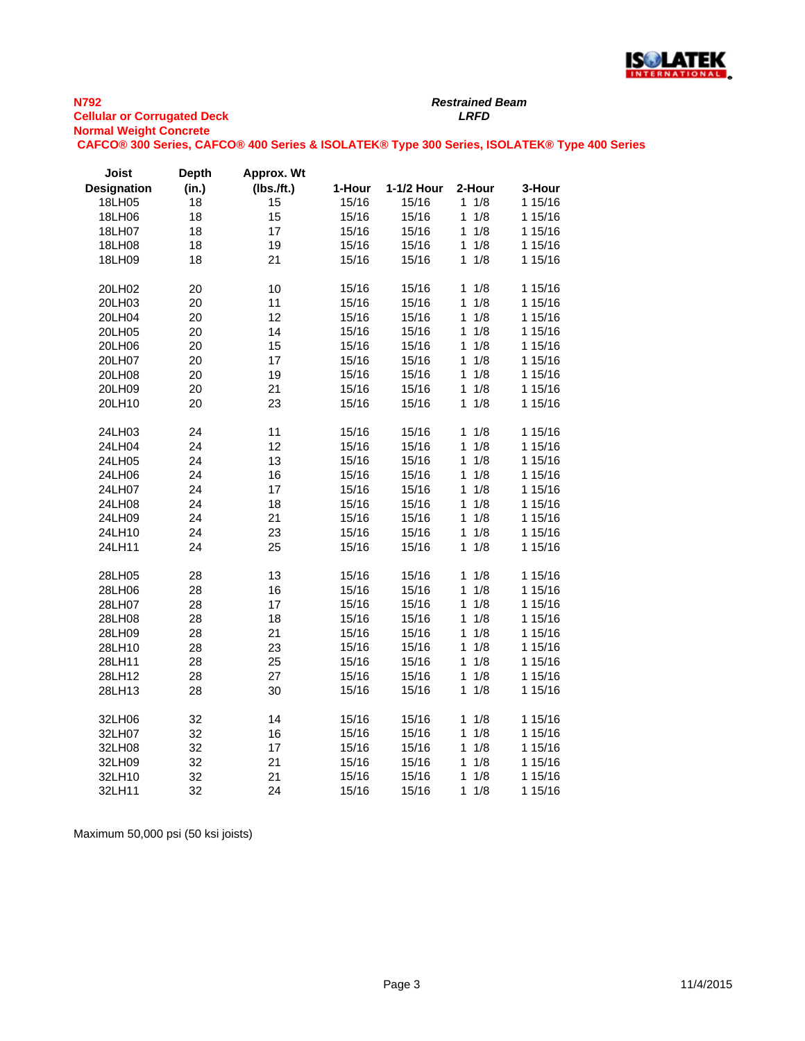

**CAFCO® 300 Series, CAFCO® 400 Series & ISOLATEK® Type 300 Series, ISOLATEK® Type 400 Series**

*Restrained Beam*

| <b>Joist</b>       | <b>Depth</b> | Approx. Wt |        |            |                     |         |
|--------------------|--------------|------------|--------|------------|---------------------|---------|
| <b>Designation</b> | (in.)        | (lbs.ft.)  | 1-Hour | 1-1/2 Hour | 2-Hour              | 3-Hour  |
| 18LH05             | 18           | 15         | 15/16  | 15/16      | $1 \t1/8$           | 1 15/16 |
| 18LH06             | 18           | 15         | 15/16  | 15/16      | 1/8<br>1            | 1 15/16 |
| 18LH07             | 18           | 17         | 15/16  | 15/16      | 1/8<br>1            | 1 15/16 |
| 18LH08             | 18           | 19         | 15/16  | 15/16      | 1/8<br>1            | 1 15/16 |
| 18LH09             | 18           | 21         | 15/16  | 15/16      | 1/8<br>1.           | 1 15/16 |
| 20LH02             | 20           | 10         | 15/16  | 15/16      | 1/8<br>$\mathbf{1}$ | 1 15/16 |
| 20LH03             | 20           | 11         | 15/16  | 15/16      | 1<br>1/8            | 1 15/16 |
| 20LH04             | 20           | 12         | 15/16  | 15/16      | 1/8<br>1            | 1 15/16 |
| 20LH05             | 20           | 14         | 15/16  | 15/16      | 1/8<br>$\mathbf{1}$ | 1 15/16 |
| 20LH06             | 20           | 15         | 15/16  | 15/16      | 1/8<br>1            | 1 15/16 |
| 20LH07             | 20           | 17         | 15/16  | 15/16      | 1/8<br>1            | 1 15/16 |
| 20LH08             | 20           | 19         | 15/16  | 15/16      | 1/8<br>1            | 1 15/16 |
| 20LH09             | 20           | 21         | 15/16  | 15/16      | 1/8<br>1            | 1 15/16 |
| 20LH10             | 20           | 23         | 15/16  | 15/16      | 1/8<br>1            | 1 15/16 |
| 24LH03             | 24           | 11         | 15/16  | 15/16      | 1/8<br>1            | 1 15/16 |
| 24LH04             | 24           | 12         | 15/16  | 15/16      | 1<br>1/8            | 1 15/16 |
| 24LH05             | 24           | 13         | 15/16  | 15/16      | 1/8<br>1            | 1 15/16 |
| 24LH06             | 24           | 16         | 15/16  | 15/16      | 1/8<br>$\mathbf{1}$ | 1 15/16 |
| 24LH07             | 24           | 17         | 15/16  | 15/16      | 1/8<br>1            | 1 15/16 |
| 24LH08             | 24           | 18         | 15/16  | 15/16      | 1/8<br>1            | 1 15/16 |
| 24LH09             | 24           | 21         | 15/16  | 15/16      | 1/8<br>1            | 1 15/16 |
| 24LH10             | 24           | 23         | 15/16  | 15/16      | 1/8<br>1            | 1 15/16 |
| 24LH11             | 24           | 25         | 15/16  | 15/16      | 1/8<br>1            | 1 15/16 |
| 28LH05             | 28           | 13         | 15/16  | 15/16      | 1/8<br>$\mathbf{1}$ | 1 15/16 |
| 28LH06             | 28           | 16         | 15/16  | 15/16      | $\mathbf{1}$<br>1/8 | 1 15/16 |
| 28LH07             | 28           | 17         | 15/16  | 15/16      | 1/8<br>$\mathbf{1}$ | 1 15/16 |
| 28LH08             | 28           | 18         | 15/16  | 15/16      | 1/8<br>1            | 1 15/16 |
| 28LH09             | 28           | 21         | 15/16  | 15/16      | 1<br>1/8            | 1 15/16 |
| 28LH10             | 28           | 23         | 15/16  | 15/16      | 1/8<br>1            | 1 15/16 |
| 28LH11             | 28           | 25         | 15/16  | 15/16      | 1/8<br>1            | 1 15/16 |
| 28LH12             | 28           | 27         | 15/16  | 15/16      | 1/8<br>1            | 1 15/16 |
| 28LH13             | 28           | 30         | 15/16  | 15/16      | 1/8<br>1            | 1 15/16 |
| 32LH06             | 32           | 14         | 15/16  | 15/16      | $\mathbf{1}$<br>1/8 | 1 15/16 |
| 32LH07             | 32           | 16         | 15/16  | 15/16      | 1<br>1/8            | 1 15/16 |
| 32LH08             | 32           | 17         | 15/16  | 15/16      | 1/8<br>1            | 1 15/16 |
| 32LH09             | 32           | 21         | 15/16  | 15/16      | 1/8<br>1            | 1 15/16 |
| 32LH10             | 32           | 21         | 15/16  | 15/16      | 1<br>1/8            | 1 15/16 |
| 32LH11             | 32           | 24         | 15/16  | 15/16      | 1/8<br>1            | 1 15/16 |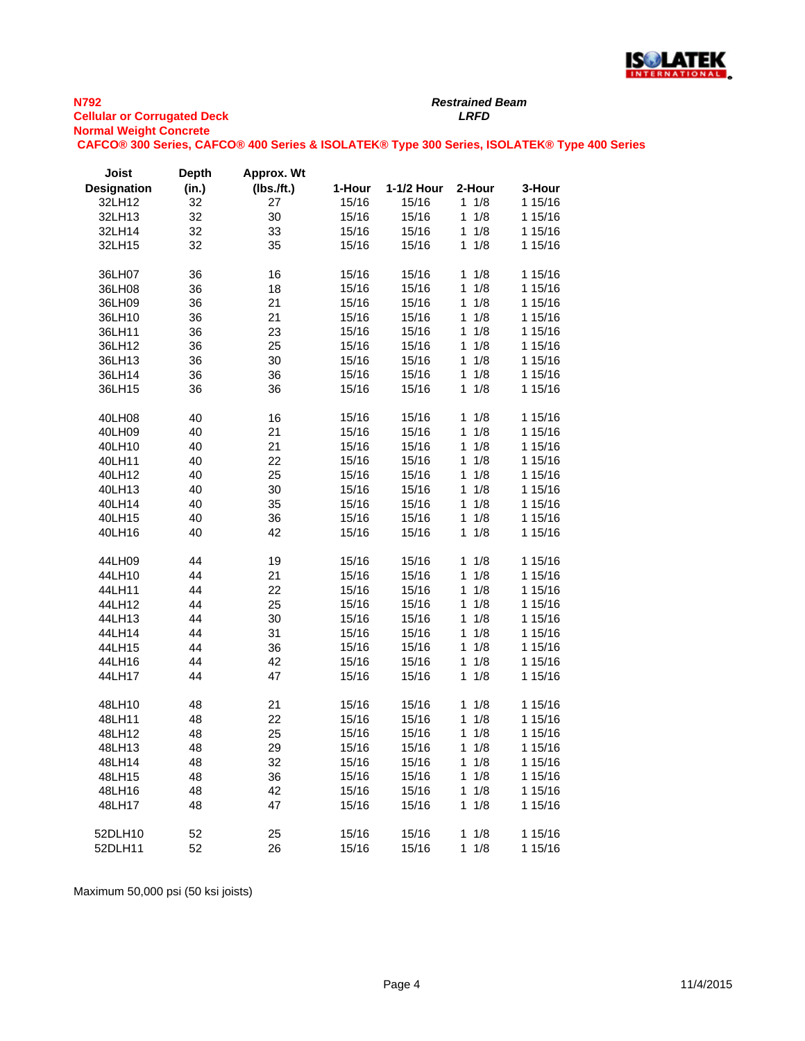

**CAFCO® 300 Series, CAFCO® 400 Series & ISOLATEK® Type 300 Series, ISOLATEK® Type 400 Series**

*Restrained Beam*

| <b>Joist</b>       | <b>Depth</b> | Approx. Wt |        |            |                     |         |
|--------------------|--------------|------------|--------|------------|---------------------|---------|
| <b>Designation</b> | (in.)        | (Ibs.ft.)  | 1-Hour | 1-1/2 Hour | 2-Hour              | 3-Hour  |
| 32LH12             | 32           | 27         | 15/16  | 15/16      | $1 \t1/8$           | 1 15/16 |
| 32LH13             | 32           | 30         | 15/16  | 15/16      | $\mathbf{1}$<br>1/8 | 1 15/16 |
| 32LH14             | 32           | 33         | 15/16  | 15/16      | 1/8<br>1            | 1 15/16 |
| 32LH15             | 32           | 35         | 15/16  | 15/16      | 1/8<br>1            | 1 15/16 |
|                    |              |            |        |            |                     |         |
| 36LH07             | 36           | 16         | 15/16  | 15/16      | 1/8<br>1            | 1 15/16 |
| 36LH08             | 36           | 18         | 15/16  | 15/16      | 1/8<br>$\mathbf{1}$ | 1 15/16 |
| 36LH09             | 36           | 21         | 15/16  | 15/16      | 1/8<br>1            | 1 15/16 |
| 36LH10             | 36           | 21         | 15/16  | 15/16      | 1/8<br>1            | 1 15/16 |
| 36LH11             | 36           | 23         | 15/16  | 15/16      | 1/8<br>1            | 1 15/16 |
| 36LH12             | 36           | 25         | 15/16  | 15/16      | 1/8<br>$\mathbf{1}$ | 1 15/16 |
| 36LH13             | 36           | 30         | 15/16  | 15/16      | 1/8<br>1            | 1 15/16 |
| 36LH14             | 36           | 36         | 15/16  | 15/16      | 1/8<br>$\mathbf{1}$ | 1 15/16 |
| 36LH15             | 36           | 36         | 15/16  | 15/16      | 1/8<br>$\mathbf 1$  | 1 15/16 |
|                    |              |            |        |            |                     |         |
| 40LH08             | 40           | 16         | 15/16  | 15/16      | 1/8<br>1            | 1 15/16 |
| 40LH09             | 40           | 21         | 15/16  | 15/16      | 1/8<br>1            | 1 15/16 |
| 40LH10             | 40           | 21         | 15/16  | 15/16      | 1/8<br>$\mathbf{1}$ | 1 15/16 |
|                    |              |            |        | 15/16      | 1/8<br>1            | 1 15/16 |
| 40LH11             | 40           | 22         | 15/16  |            |                     |         |
| 40LH12             | 40           | 25         | 15/16  | 15/16      | 1/8<br>1            | 1 15/16 |
| 40LH13             | 40           | 30         | 15/16  | 15/16      | 1/8<br>1            | 1 15/16 |
| 40LH14             | 40           | 35         | 15/16  | 15/16      | 1/8<br>$\mathbf{1}$ | 1 15/16 |
| 40LH15             | 40           | 36         | 15/16  | 15/16      | 1/8<br>$\mathbf{1}$ | 1 15/16 |
| 40LH16             | 40           | 42         | 15/16  | 15/16      | $\mathbf{1}$<br>1/8 | 1 15/16 |
|                    |              |            |        |            |                     |         |
| 44LH09             | 44           | 19         | 15/16  | 15/16      | 1/8<br>1            | 1 15/16 |
| 44LH10             | 44           | 21         | 15/16  | 15/16      | 1/8<br>$\mathbf{1}$ | 1 15/16 |
| 44LH11             | 44           | 22         | 15/16  | 15/16      | 1/8<br>1            | 1 15/16 |
| 44LH12             | 44           | 25         | 15/16  | 15/16      | 1/8<br>1            | 1 15/16 |
| 44LH13             | 44           | 30         | 15/16  | 15/16      | $\mathbf{1}$<br>1/8 | 1 15/16 |
| 44LH14             | 44           | 31         | 15/16  | 15/16      | 1/8<br>1            | 1 15/16 |
| 44LH15             | 44           | 36         | 15/16  | 15/16      | 1/8<br>1            | 1 15/16 |
| 44LH16             | 44           | 42         | 15/16  | 15/16      | 1/8<br>$\mathbf{1}$ | 1 15/16 |
| 44LH17             | 44           | 47         | 15/16  | 15/16      | 1/8<br>$\mathbf{1}$ | 1 15/16 |
|                    |              |            |        |            |                     |         |
| 48LH10             | 48           | 21         | 15/16  | 15/16      | 1/8<br>1            | 1 15/16 |
| 48LH11             | 48           | 22         | 15/16  | 15/16      | 1/8<br>1            | 1 15/16 |
| 48LH12             | 48           | 25         | 15/16  | 15/16      | 1/8<br>1            | 1 15/16 |
| 48LH13             | 48           | 29         | 15/16  | 15/16      | $1 \t1/8$           | 1 15/16 |
| 48LH14             | 48           | 32         | 15/16  | 15/16      | $1 \t1/8$           | 1 15/16 |
| 48LH15             | 48           | 36         | 15/16  | 15/16      | 1/8<br>$\mathbf{1}$ | 1 15/16 |
| 48LH16             | 48           | 42         | 15/16  | 15/16      | 1/8<br>$\mathbf{1}$ | 1 15/16 |
| 48LH17             | 48           | 47         | 15/16  | 15/16      | $1 \t1/8$           | 1 15/16 |
|                    |              |            |        |            |                     |         |
| 52DLH10            | 52           | 25         | 15/16  | 15/16      | $1 \t1/8$           | 1 15/16 |
| 52DLH11            | 52           | 26         | 15/16  | 15/16      | $1 \t1/8$           | 1 15/16 |